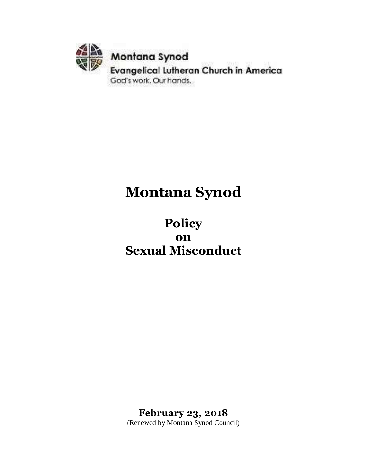

# **Montana Synod**

**Policy on Sexual Misconduct**

**February 23, 2018** (Renewed by Montana Synod Council)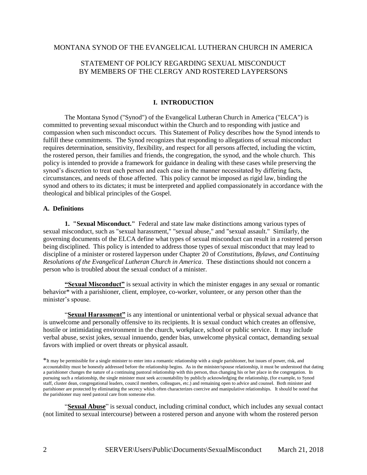## MONTANA SYNOD OF THE EVANGELICAL LUTHERAN CHURCH IN AMERICA

# STATEMENT OF POLICY REGARDING SEXUAL MISCONDUCT BY MEMBERS OF THE CLERGY AND ROSTERED LAYPERSONS

## **I. INTRODUCTION**

The Montana Synod ("Synod") of the Evangelical Lutheran Church in America ("ELCA") is committed to preventing sexual misconduct within the Church and to responding with justice and compassion when such misconduct occurs. This Statement of Policy describes how the Synod intends to fulfill these commitments. The Synod recognizes that responding to allegations of sexual misconduct requires determination, sensitivity, flexibility, and respect for all persons affected, including the victim, the rostered person, their families and friends, the congregation, the synod, and the whole church. This policy is intended to provide a framework for guidance in dealing with these cases while preserving the synod's discretion to treat each person and each case in the manner necessitated by differing facts, circumstances, and needs of those affected. This policy cannot be imposed as rigid law, binding the synod and others to its dictates; it must be interpreted and applied compassionately in accordance with the theological and biblical principles of the Gospel.

## **A. Definitions**

**1. "Sexual Misconduct."** Federal and state law make distinctions among various types of sexual misconduct, such as "sexual harassment," "sexual abuse," and "sexual assault." Similarly, the governing documents of the ELCA define what types of sexual misconduct can result in a rostered person being disciplined. This policy is intended to address those types of sexual misconduct that may lead to discipline of a minister or rostered layperson under Chapter 20 of *Constitutions, Bylaws, and Continuing Resolutions of the Evangelical Lutheran Church in America*. These distinctions should not concern a person who is troubled about the sexual conduct of a minister.

**"Sexual Misconduct"** is sexual activity in which the minister engages in any sexual or romantic behavior\* with a parishioner, client, employee, co-worker, volunteer, or any person other than the minister's spouse.

"**Sexual Harassment"** is any intentional or unintentional verbal or physical sexual advance that is unwelcome and personally offensive to its recipients. It is sexual conduct which creates an offensive, hostile or intimidating environment in the church, workplace, school or public service. It may include verbal abuse, sexist jokes, sexual innuendo, gender bias, unwelcome physical contact, demanding sexual favors with implied or overt threats or physical assault.

"**Sexual Abuse**" is sexual conduct, including criminal conduct, which includes any sexual contact (not limited to sexual intercourse) between a rostered person and anyone with whom the rostered person

<sup>\*</sup>It may be permissible for a single minister to enter into a romantic relationship with a single parishioner, but issues of power, risk, and accountability must be honestly addressed before the relationship begins. As in the minister/spouse relationship, it must be understood that dating a parishioner changes the nature of a continuing pastoral relationship with this person, thus changing his or her place in the congregation. In pursuing such a relationship, the single minister must seek accountability by publicly acknowledging the relationship, (for example, to Synod staff, cluster dean, congregational leaders, council members, colleagues, etc.) and remaining open to advice and counsel. Both minister and parishioner are protected by eliminating the secrecy which often characterizes coercive and manipulative relationships. It should be noted that the parishioner may need pastoral care from someone else.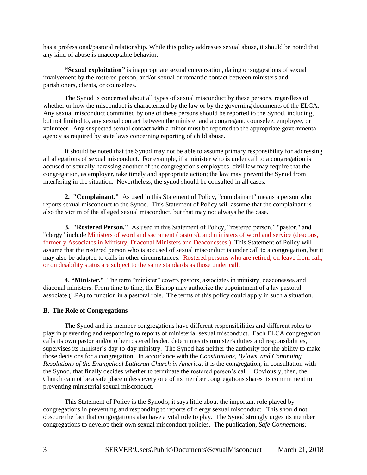has a professional/pastoral relationship. While this policy addresses sexual abuse, it should be noted that any kind of abuse is unacceptable behavior.

**"Sexual exploitation"** is inappropriate sexual conversation, dating or suggestions of sexual involvement by the rostered person, and/or sexual or romantic contact between ministers and parishioners, clients, or counselees.

The Synod is concerned about all types of sexual misconduct by these persons, regardless of whether or how the misconduct is characterized by the law or by the governing documents of the ELCA. Any sexual misconduct committed by one of these persons should be reported to the Synod, including, but not limited to, any sexual contact between the minister and a congregant, counselee, employee, or volunteer. Any suspected sexual contact with a minor must be reported to the appropriate governmental agency as required by state laws concerning reporting of child abuse.

It should be noted that the Synod may not be able to assume primary responsibility for addressing all allegations of sexual misconduct. For example, if a minister who is under call to a congregation is accused of sexually harassing another of the congregation's employees, civil law may require that the congregation, as employer, take timely and appropriate action; the law may prevent the Synod from interfering in the situation. Nevertheless, the synod should be consulted in all cases.

**2. "Complainant."** As used in this Statement of Policy, "complainant" means a person who reports sexual misconduct to the Synod. This Statement of Policy will assume that the complainant is also the victim of the alleged sexual misconduct, but that may not always be the case.

**3. "Rostered Person."** As used in this Statement of Policy, "rostered person," "pastor," and "clergy" include Ministers of word and sacrament (pastors), and ministers of word and service (deacons, formerly Associates in Ministry, Diaconal Ministers and Deaconesses.) This Statement of Policy will assume that the rostered person who is accused of sexual misconduct is under call to a congregation, but it may also be adapted to calls in other circumstances. Rostered persons who are retired, on leave from call, or on disability status are subject to the same standards as those under call.

**4. "Minister."** The term "minister" covers pastors, associates in ministry, deaconesses and diaconal ministers. From time to time, the Bishop may authorize the appointment of a lay pastoral associate (LPA) to function in a pastoral role. The terms of this policy could apply in such a situation.

## **B. The Role of Congregations**

The Synod and its member congregations have different responsibilities and different roles to play in preventing and responding to reports of ministerial sexual misconduct. Each ELCA congregation calls its own pastor and/or other rostered leader, determines its minister's duties and responsibilities, supervises its minister's day-to-day ministry. The Synod has neither the authority nor the ability to make those decisions for a congregation. In accordance with the *Constitutions, Bylaws, and Continuing Resolutions of the Evangelical Lutheran Church in America*, it is the congregation, in consultation with the Synod, that finally decides whether to terminate the rostered person's call. Obviously, then, the Church cannot be a safe place unless every one of its member congregations shares its commitment to preventing ministerial sexual misconduct.

This Statement of Policy is the Synod's; it says little about the important role played by congregations in preventing and responding to reports of clergy sexual misconduct. This should not obscure the fact that congregations also have a vital role to play. The Synod strongly urges its member congregations to develop their own sexual misconduct policies. The publication, *Safe Connections:*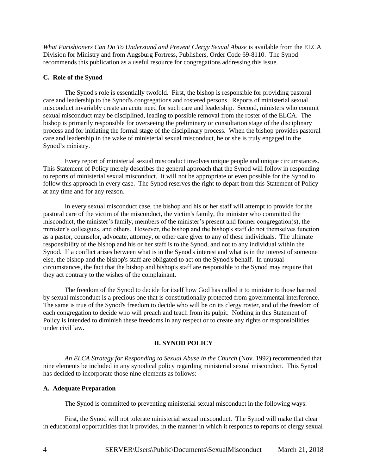*What Parishioners Can Do To Understand and Prevent Clergy Sexual Abuse* is available from the ELCA Division for Ministry and from Augsburg Fortress, Publishers, Order Code 69-8110. The Synod recommends this publication as a useful resource for congregations addressing this issue.

## **C. Role of the Synod**

The Synod's role is essentially twofold. First, the bishop is responsible for providing pastoral care and leadership to the Synod's congregations and rostered persons. Reports of ministerial sexual misconduct invariably create an acute need for such care and leadership. Second, ministers who commit sexual misconduct may be disciplined, leading to possible removal from the roster of the ELCA. The bishop is primarily responsible for overseeing the preliminary or consultation stage of the disciplinary process and for initiating the formal stage of the disciplinary process. When the bishop provides pastoral care and leadership in the wake of ministerial sexual misconduct, he or she is truly engaged in the Synod's ministry.

Every report of ministerial sexual misconduct involves unique people and unique circumstances. This Statement of Policy merely describes the general approach that the Synod will follow in responding to reports of ministerial sexual misconduct. It will not be appropriate or even possible for the Synod to follow this approach in every case. The Synod reserves the right to depart from this Statement of Policy at any time and for any reason.

In every sexual misconduct case, the bishop and his or her staff will attempt to provide for the pastoral care of the victim of the misconduct, the victim's family, the minister who committed the misconduct, the minister's family, members of the minister's present and former congregation(s), the minister's colleagues, and others. However, the bishop and the bishop's staff do not themselves function as a pastor, counselor, advocate, attorney, or other care giver to any of these individuals. The ultimate responsibility of the bishop and his or her staff is to the Synod, and not to any individual within the Synod. If a conflict arises between what is in the Synod's interest and what is in the interest of someone else, the bishop and the bishop's staff are obligated to act on the Synod's behalf. In unusual circumstances, the fact that the bishop and bishop's staff are responsible to the Synod may require that they act contrary to the wishes of the complainant.

The freedom of the Synod to decide for itself how God has called it to minister to those harmed by sexual misconduct is a precious one that is constitutionally protected from governmental interference. The same is true of the Synod's freedom to decide who will be on its clergy roster, and of the freedom of each congregation to decide who will preach and teach from its pulpit. Nothing in this Statement of Policy is intended to diminish these freedoms in any respect or to create any rights or responsibilities under civil law.

## **II. SYNOD POLICY**

*An ELCA Strategy for Responding to Sexual Abuse in the Church* (Nov. 1992) recommended that nine elements be included in any synodical policy regarding ministerial sexual misconduct. This Synod has decided to incorporate those nine elements as follows:

## **A. Adequate Preparation**

The Synod is committed to preventing ministerial sexual misconduct in the following ways:

First, the Synod will not tolerate ministerial sexual misconduct. The Synod will make that clear in educational opportunities that it provides, in the manner in which it responds to reports of clergy sexual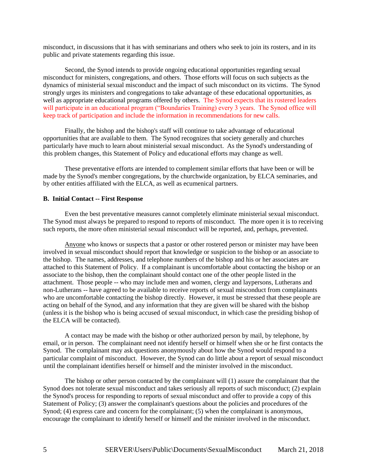misconduct, in discussions that it has with seminarians and others who seek to join its rosters, and in its public and private statements regarding this issue.

Second, the Synod intends to provide ongoing educational opportunities regarding sexual misconduct for ministers, congregations, and others. Those efforts will focus on such subjects as the dynamics of ministerial sexual misconduct and the impact of such misconduct on its victims. The Synod strongly urges its ministers and congregations to take advantage of these educational opportunities, as well as appropriate educational programs offered by others. The Synod expects that its rostered leaders will participate in an educational program ("Boundaries Training) every 3 years. The Synod office will keep track of participation and include the information in recommendations for new calls.

Finally, the bishop and the bishop's staff will continue to take advantage of educational opportunities that are available to them. The Synod recognizes that society generally and churches particularly have much to learn about ministerial sexual misconduct. As the Synod's understanding of this problem changes, this Statement of Policy and educational efforts may change as well.

These preventative efforts are intended to complement similar efforts that have been or will be made by the Synod's member congregations, by the churchwide organization, by ELCA seminaries, and by other entities affiliated with the ELCA, as well as ecumenical partners.

#### **B. Initial Contact -- First Response**

Even the best preventative measures cannot completely eliminate ministerial sexual misconduct. The Synod must always be prepared to respond to reports of misconduct. The more open it is to receiving such reports, the more often ministerial sexual misconduct will be reported, and, perhaps, prevented.

Anyone who knows or suspects that a pastor or other rostered person or minister may have been involved in sexual misconduct should report that knowledge or suspicion to the bishop or an associate to the bishop. The names, addresses, and telephone numbers of the bishop and his or her associates are attached to this Statement of Policy. If a complainant is uncomfortable about contacting the bishop or an associate to the bishop, then the complainant should contact one of the other people listed in the attachment. Those people -- who may include men and women, clergy and laypersons, Lutherans and non-Lutherans -- have agreed to be available to receive reports of sexual misconduct from complainants who are uncomfortable contacting the bishop directly. However, it must be stressed that these people are acting on behalf of the Synod, and any information that they are given will be shared with the bishop (unless it is the bishop who is being accused of sexual misconduct, in which case the presiding bishop of the ELCA will be contacted).

A contact may be made with the bishop or other authorized person by mail, by telephone, by email, or in person. The complainant need not identify herself or himself when she or he first contacts the Synod. The complainant may ask questions anonymously about how the Synod would respond to a particular complaint of misconduct. However, the Synod can do little about a report of sexual misconduct until the complainant identifies herself or himself and the minister involved in the misconduct.

The bishop or other person contacted by the complainant will (1) assure the complainant that the Synod does not tolerate sexual misconduct and takes seriously all reports of such misconduct; (2) explain the Synod's process for responding to reports of sexual misconduct and offer to provide a copy of this Statement of Policy; (3) answer the complainant's questions about the policies and procedures of the Synod; (4) express care and concern for the complainant; (5) when the complainant is anonymous, encourage the complainant to identify herself or himself and the minister involved in the misconduct.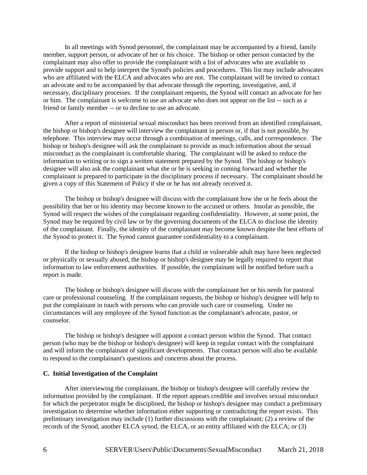In all meetings with Synod personnel, the complainant may be accompanied by a friend, family member, support person, or advocate of her or his choice. The bishop or other person contacted by the complainant may also offer to provide the complainant with a list of advocates who are available to provide support and to help interpret the Synod's policies and procedures. This list may include advocates who are affiliated with the ELCA and advocates who are not. The complainant will be invited to contact an advocate and to be accompanied by that advocate through the reporting, investigative, and, if necessary, disciplinary processes. If the complainant requests, the Synod will contact an advocate for her or him. The complainant is welcome to use an advocate who does not appear on the list -- such as a friend or family member -- or to decline to use an advocate.

After a report of ministerial sexual misconduct has been received from an identified complainant, the bishop or bishop's designee will interview the complainant in person or, if that is not possible, by telephone. This interview may occur through a combination of meetings, calls, and correspondence. The bishop or bishop's designee will ask the complainant to provide as much information about the sexual misconduct as the complainant is comfortable sharing. The complainant will be asked to reduce the information to writing or to sign a written statement prepared by the Synod. The bishop or bishop's designee will also ask the complainant what she or he is seeking in coming forward and whether the complainant is prepared to participate in the disciplinary process if necessary. The complainant should be given a copy of this Statement of Policy if she or he has not already received it.

The bishop or bishop's designee will discuss with the complainant how she or he feels about the possibility that her or his identity may become known to the accused or others. Insofar as possible, the Synod will respect the wishes of the complainant regarding confidentiality. However, at some point, the Synod may be required by civil law or by the governing documents of the ELCA to disclose the identity of the complainant. Finally, the identity of the complainant may become known despite the best efforts of the Synod to protect it. The Synod cannot guarantee confidentiality to a complainant.

If the bishop or bishop's designee learns that a child or vulnerable adult may have been neglected or physically or sexually abused, the bishop or bishop's designee may be legally required to report that information to law enforcement authorities. If possible, the complainant will be notified before such a report is made.

The bishop or bishop's designee will discuss with the complainant her or his needs for pastoral care or professional counseling. If the complainant requests, the bishop or bishop's designee will help to put the complainant in touch with persons who can provide such care or counseling. Under no circumstances will any employee of the Synod function as the complainant's advocate, pastor, or counselor.

The bishop or bishop's designee will appoint a contact person within the Synod. That contact person (who may be the bishop or bishop's designee) will keep in regular contact with the complainant and will inform the complainant of significant developments. That contact person will also be available to respond to the complainant's questions and concerns about the process.

#### **C. Initial Investigation of the Complaint**

After interviewing the complainant, the bishop or bishop's designee will carefully review the information provided by the complainant. If the report appears credible and involves sexual misconduct for which the perpetrator might be disciplined, the bishop or bishop's designee may conduct a preliminary investigation to determine whether information either supporting or contradicting the report exists. This preliminary investigation may include (1) further discussions with the complainant; (2) a review of the records of the Synod, another ELCA synod, the ELCA, or an entity affiliated with the ELCA; or (3)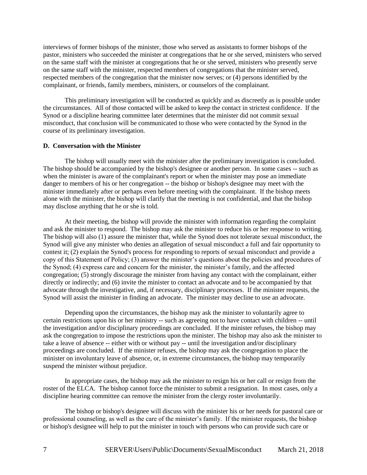interviews of former bishops of the minister, those who served as assistants to former bishops of the pastor, ministers who succeeded the minister at congregations that he or she served, ministers who served on the same staff with the minister at congregations that he or she served, ministers who presently serve on the same staff with the minister, respected members of congregations that the minister served, respected members of the congregation that the minister now serves; or (4) persons identified by the complainant, or friends, family members, ministers, or counselors of the complainant.

This preliminary investigation will be conducted as quickly and as discreetly as is possible under the circumstances. All of those contacted will be asked to keep the contact in strictest confidence. If the Synod or a discipline hearing committee later determines that the minister did not commit sexual misconduct, that conclusion will be communicated to those who were contacted by the Synod in the course of its preliminary investigation.

## **D. Conversation with the Minister**

The bishop will usually meet with the minister after the preliminary investigation is concluded. The bishop should be accompanied by the bishop's designee or another person. In some cases -- such as when the minister is aware of the complainant's report or when the minister may pose an immediate danger to members of his or her congregation -- the bishop or bishop's designee may meet with the minister immediately after or perhaps even before meeting with the complainant. If the bishop meets alone with the minister, the bishop will clarify that the meeting is not confidential, and that the bishop may disclose anything that he or she is told.

At their meeting, the bishop will provide the minister with information regarding the complaint and ask the minister to respond. The bishop may ask the minister to reduce his or her response to writing. The bishop will also (1) assure the minister that, while the Synod does not tolerate sexual misconduct, the Synod will give any minister who denies an allegation of sexual misconduct a full and fair opportunity to contest it; (2) explain the Synod's process for responding to reports of sexual misconduct and provide a copy of this Statement of Policy; (3) answer the minister's questions about the policies and procedures of the Synod; (4) express care and concern for the minister, the minister's family, and the affected congregation; (5) strongly discourage the minister from having any contact with the complainant, either directly or indirectly; and (6) invite the minister to contact an advocate and to be accompanied by that advocate through the investigative, and, if necessary, disciplinary processes. If the minister requests, the Synod will assist the minister in finding an advocate. The minister may decline to use an advocate.

Depending upon the circumstances, the bishop may ask the minister to voluntarily agree to certain restrictions upon his or her ministry -- such as agreeing not to have contact with children -- until the investigation and/or disciplinary proceedings are concluded. If the minister refuses, the bishop may ask the congregation to impose the restrictions upon the minister. The bishop may also ask the minister to take a leave of absence -- either with or without pay -- until the investigation and/or disciplinary proceedings are concluded. If the minister refuses, the bishop may ask the congregation to place the minister on involuntary leave of absence, or, in extreme circumstances, the bishop may temporarily suspend the minister without prejudice.

In appropriate cases, the bishop may ask the minister to resign his or her call or resign from the roster of the ELCA. The bishop cannot force the minister to submit a resignation. In most cases, only a discipline hearing committee can remove the minister from the clergy roster involuntarily.

The bishop or bishop's designee will discuss with the minister his or her needs for pastoral care or professional counseling, as well as the care of the minister's family. If the minister requests, the bishop or bishop's designee will help to put the minister in touch with persons who can provide such care or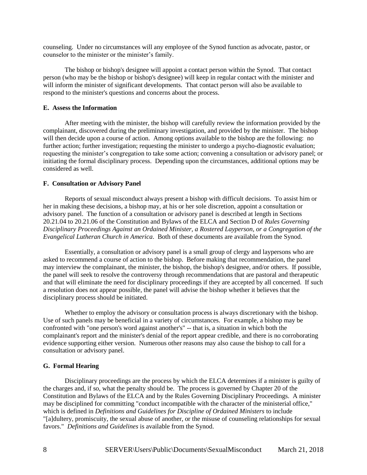counseling. Under no circumstances will any employee of the Synod function as advocate, pastor, or counselor to the minister or the minister's family.

The bishop or bishop's designee will appoint a contact person within the Synod. That contact person (who may be the bishop or bishop's designee) will keep in regular contact with the minister and will inform the minister of significant developments. That contact person will also be available to respond to the minister's questions and concerns about the process.

## **E. Assess the Information**

After meeting with the minister, the bishop will carefully review the information provided by the complainant, discovered during the preliminary investigation, and provided by the minister. The bishop will then decide upon a course of action. Among options available to the bishop are the following: no further action; further investigation; requesting the minister to undergo a psycho-diagnostic evaluation; requesting the minister's congregation to take some action; convening a consultation or advisory panel; or initiating the formal disciplinary process. Depending upon the circumstances, additional options may be considered as well.

## **F. Consultation or Advisory Panel**

Reports of sexual misconduct always present a bishop with difficult decisions. To assist him or her in making these decisions, a bishop may, at his or her sole discretion, appoint a consultation or advisory panel. The function of a consultation or advisory panel is described at length in Sections 20.21.04 to 20.21.06 of the Constitution and Bylaws of the ELCA and Section D of *Rules Governing Disciplinary Proceedings Against an Ordained Minister, a Rostered Layperson, or a Congregation of the Evangelical Lutheran Church in America*. Both of these documents are available from the Synod.

Essentially, a consultation or advisory panel is a small group of clergy and laypersons who are asked to recommend a course of action to the bishop. Before making that recommendation, the panel may interview the complainant, the minister, the bishop, the bishop's designee, and/or others. If possible, the panel will seek to resolve the controversy through recommendations that are pastoral and therapeutic and that will eliminate the need for disciplinary proceedings if they are accepted by all concerned. If such a resolution does not appear possible, the panel will advise the bishop whether it believes that the disciplinary process should be initiated.

Whether to employ the advisory or consultation process is always discretionary with the bishop. Use of such panels may be beneficial in a variety of circumstances. For example, a bishop may be confronted with "one person's word against another's" -- that is, a situation in which both the complainant's report and the minister's denial of the report appear credible, and there is no corroborating evidence supporting either version. Numerous other reasons may also cause the bishop to call for a consultation or advisory panel.

## **G. Formal Hearing**

Disciplinary proceedings are the process by which the ELCA determines if a minister is guilty of the charges and, if so, what the penalty should be. The process is governed by Chapter 20 of the Constitution and Bylaws of the ELCA and by the Rules Governing Disciplinary Proceedings. A minister may be disciplined for committing "conduct incompatible with the character of the ministerial office," which is defined in *Definitions and Guidelines for Discipline of Ordained Ministers* to include "[a]dultery, promiscuity, the sexual abuse of another, or the misuse of counseling relationships for sexual favors." *Definitions and Guidelines* is available from the Synod.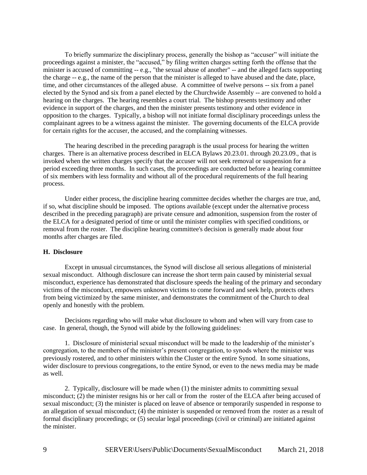To briefly summarize the disciplinary process, generally the bishop as "accuser" will initiate the proceedings against a minister, the "accused," by filing written charges setting forth the offense that the minister is accused of committing -- e.g., "the sexual abuse of another" -- and the alleged facts supporting the charge -- e.g., the name of the person that the minister is alleged to have abused and the date, place, time, and other circumstances of the alleged abuse. A committee of twelve persons -- six from a panel elected by the Synod and six from a panel elected by the Churchwide Assembly -- are convened to hold a hearing on the charges. The hearing resembles a court trial. The bishop presents testimony and other evidence in support of the charges, and then the minister presents testimony and other evidence in opposition to the charges. Typically, a bishop will not initiate formal disciplinary proceedings unless the complainant agrees to be a witness against the minister. The governing documents of the ELCA provide for certain rights for the accuser, the accused, and the complaining witnesses.

The hearing described in the preceding paragraph is the usual process for hearing the written charges. There is an alternative process described in ELCA Bylaws 20.23.01. through 20.23.09., that is invoked when the written charges specify that the accuser will not seek removal or suspension for a period exceeding three months. In such cases, the proceedings are conducted before a hearing committee of six members with less formality and without all of the procedural requirements of the full hearing process.

Under either process, the discipline hearing committee decides whether the charges are true, and, if so, what discipline should be imposed. The options available (except under the alternative process described in the preceding paragraph) are private censure and admonition, suspension from the roster of the ELCA for a designated period of time or until the minister complies with specified conditions, or removal from the roster. The discipline hearing committee's decision is generally made about four months after charges are filed.

## **H. Disclosure**

Except in unusual circumstances, the Synod will disclose all serious allegations of ministerial sexual misconduct. Although disclosure can increase the short term pain caused by ministerial sexual misconduct, experience has demonstrated that disclosure speeds the healing of the primary and secondary victims of the misconduct, empowers unknown victims to come forward and seek help, protects others from being victimized by the same minister, and demonstrates the commitment of the Church to deal openly and honestly with the problem.

Decisions regarding who will make what disclosure to whom and when will vary from case to case. In general, though, the Synod will abide by the following guidelines:

1. Disclosure of ministerial sexual misconduct will be made to the leadership of the minister's congregation, to the members of the minister's present congregation, to synods where the minister was previously rostered, and to other ministers within the Cluster or the entire Synod. In some situations, wider disclosure to previous congregations, to the entire Synod, or even to the news media may be made as well.

2. Typically, disclosure will be made when (1) the minister admits to committing sexual misconduct; (2) the minister resigns his or her call or from the roster of the ELCA after being accused of sexual misconduct; (3) the minister is placed on leave of absence or temporarily suspended in response to an allegation of sexual misconduct;  $(4)$  the minister is suspended or removed from the roster as a result of formal disciplinary proceedings; or (5) secular legal proceedings (civil or criminal) are initiated against the minister.